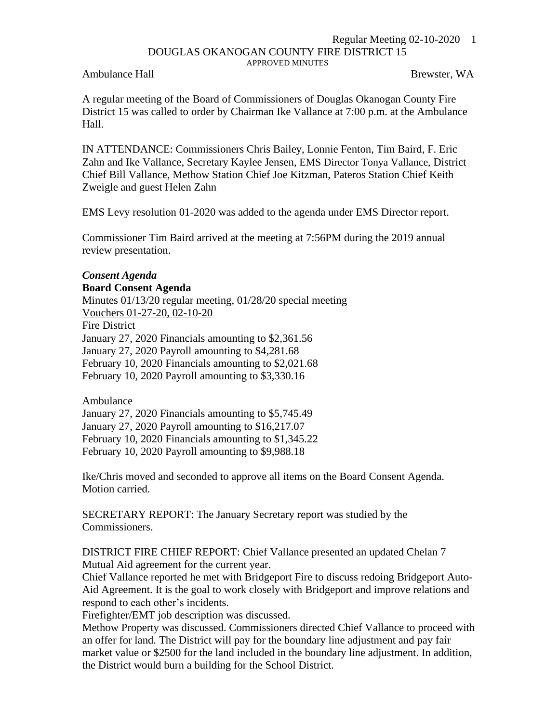## Regular Meeting 02-10-2020 1 DOUGLAS OKANOGAN COUNTY FIRE DISTRICT 15 APPROVED MINUTES

Ambulance Hall **Brewster, WA** 

A regular meeting of the Board of Commissioners of Douglas Okanogan County Fire District 15 was called to order by Chairman Ike Vallance at 7:00 p.m. at the Ambulance Hall.

IN ATTENDANCE: Commissioners Chris Bailey, Lonnie Fenton, Tim Baird, F. Eric Zahn and Ike Vallance, Secretary Kaylee Jensen, EMS Director Tonya Vallance, District Chief Bill Vallance, Methow Station Chief Joe Kitzman, Pateros Station Chief Keith Zweigle and guest Helen Zahn

EMS Levy resolution 01-2020 was added to the agenda under EMS Director report.

Commissioner Tim Baird arrived at the meeting at 7:56PM during the 2019 annual review presentation.

## *Consent Agenda* **Board Consent Agenda**

Minutes 01/13/20 regular meeting, 01/28/20 special meeting Vouchers 01-27-20, 02-10-20 Fire District January 27, 2020 Financials amounting to \$2,361.56 January 27, 2020 Payroll amounting to \$4,281.68 February 10, 2020 Financials amounting to \$2,021.68 February 10, 2020 Payroll amounting to \$3,330.16

Ambulance January 27, 2020 Financials amounting to \$5,745.49 January 27, 2020 Payroll amounting to \$16,217.07 February 10, 2020 Financials amounting to \$1,345.22 February 10, 2020 Payroll amounting to \$9,988.18

Ike/Chris moved and seconded to approve all items on the Board Consent Agenda. Motion carried.

SECRETARY REPORT: The January Secretary report was studied by the Commissioners.

DISTRICT FIRE CHIEF REPORT: Chief Vallance presented an updated Chelan 7 Mutual Aid agreement for the current year.

Chief Vallance reported he met with Bridgeport Fire to discuss redoing Bridgeport Auto-Aid Agreement. It is the goal to work closely with Bridgeport and improve relations and respond to each other's incidents.

Firefighter/EMT job description was discussed.

Methow Property was discussed. Commissioners directed Chief Vallance to proceed with an offer for land. The District will pay for the boundary line adjustment and pay fair market value or \$2500 for the land included in the boundary line adjustment. In addition, the District would burn a building for the School District.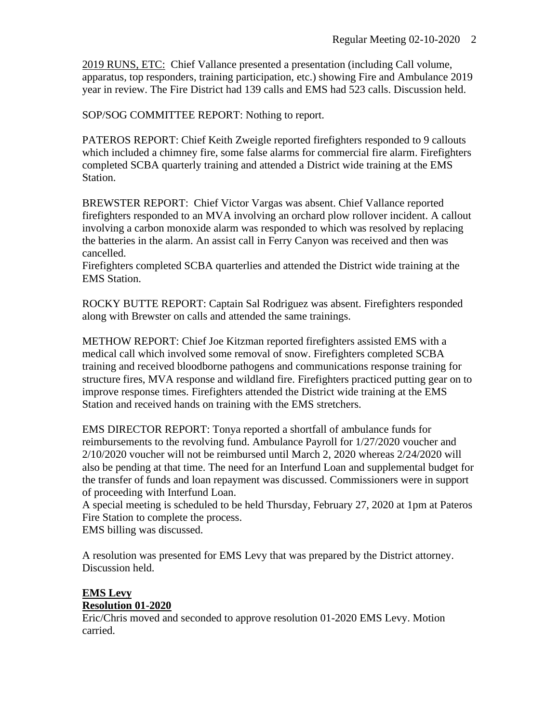2019 RUNS, ETC: Chief Vallance presented a presentation (including Call volume, apparatus, top responders, training participation, etc.) showing Fire and Ambulance 2019 year in review. The Fire District had 139 calls and EMS had 523 calls. Discussion held.

SOP/SOG COMMITTEE REPORT: Nothing to report.

PATEROS REPORT: Chief Keith Zweigle reported firefighters responded to 9 callouts which included a chimney fire, some false alarms for commercial fire alarm. Firefighters completed SCBA quarterly training and attended a District wide training at the EMS Station.

BREWSTER REPORT: Chief Victor Vargas was absent. Chief Vallance reported firefighters responded to an MVA involving an orchard plow rollover incident. A callout involving a carbon monoxide alarm was responded to which was resolved by replacing the batteries in the alarm. An assist call in Ferry Canyon was received and then was cancelled.

Firefighters completed SCBA quarterlies and attended the District wide training at the EMS Station.

ROCKY BUTTE REPORT: Captain Sal Rodriguez was absent. Firefighters responded along with Brewster on calls and attended the same trainings.

METHOW REPORT: Chief Joe Kitzman reported firefighters assisted EMS with a medical call which involved some removal of snow. Firefighters completed SCBA training and received bloodborne pathogens and communications response training for structure fires, MVA response and wildland fire. Firefighters practiced putting gear on to improve response times. Firefighters attended the District wide training at the EMS Station and received hands on training with the EMS stretchers.

EMS DIRECTOR REPORT: Tonya reported a shortfall of ambulance funds for reimbursements to the revolving fund. Ambulance Payroll for 1/27/2020 voucher and 2/10/2020 voucher will not be reimbursed until March 2, 2020 whereas 2/24/2020 will also be pending at that time. The need for an Interfund Loan and supplemental budget for the transfer of funds and loan repayment was discussed. Commissioners were in support of proceeding with Interfund Loan.

A special meeting is scheduled to be held Thursday, February 27, 2020 at 1pm at Pateros Fire Station to complete the process.

EMS billing was discussed.

A resolution was presented for EMS Levy that was prepared by the District attorney. Discussion held.

## **EMS Levy Resolution 01-2020**

Eric/Chris moved and seconded to approve resolution 01-2020 EMS Levy. Motion carried.